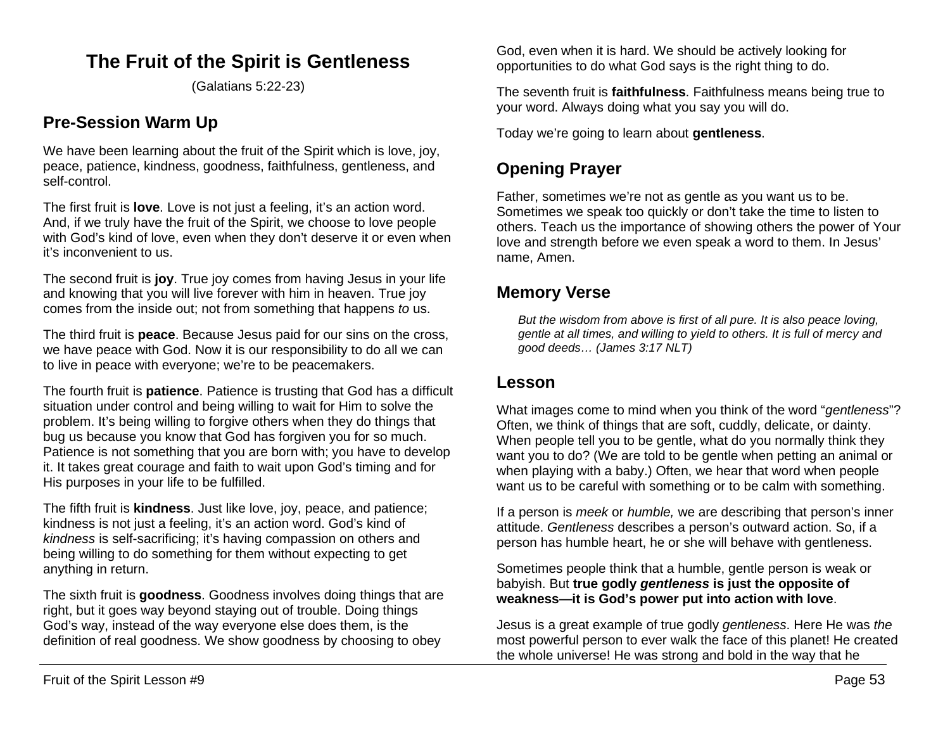# **The Fruit of the Spirit is Gentleness**

(Galatians 5:22-23)

## **Pre-Session Warm Up**

We have been learning about the fruit of the Spirit which is love, joy, peace, patience, kindness, goodness, faithfulness, gentleness, and self-control.

The first fruit is **love**. Love is not just a feeling, it's an action word. And, if we truly have the fruit of the Spirit, we choose to love people with God's kind of love, even when they don't deserve it or even when it's inconvenient to us.

The second fruit is **joy**. True joy comes from having Jesus in your life and knowing that you will live forever with him in heaven. True joy comes from the inside out; not from something that happens *to* us.

The third fruit is **peace**. Because Jesus paid for our sins on the cross, we have peace with God. Now it is our responsibility to do all we can to live in peace with everyone; we're to be peacemakers.

The fourth fruit is **patience**. Patience is trusting that God has a difficult situation under control and being willing to wait for Him to solve the problem. It's being willing to forgive others when they do things that bug us because you know that God has forgiven you for so much. Patience is not something that you are born with; you have to develop it. It takes great courage and faith to wait upon God's timing and for His purposes in your life to be fulfilled.

The fifth fruit is **kindness**. Just like love, joy, peace, and patience; kindness is not just a feeling, it's an action word. God's kind of *kindness* is self-sacrificing; it's having compassion on others and being willing to do something for them without expecting to get anything in return.

The sixth fruit is **goodness**. Goodness involves doing things that are right, but it goes way beyond staying out of trouble. Doing things God's way, instead of the way everyone else does them, is the definition of real goodness. We show goodness by choosing to obey

God, even when it is hard. We should be actively looking for opportunities to do what God says is the right thing to do.

The seventh fruit is **faithfulness**. Faithfulness means being true to your word. Always doing what you say you will do.

Today we're going to learn about **gentleness**.

# **Opening Prayer**

Father, sometimes we're not as gentle as you want us to be. Sometimes we speak too quickly or don't take the time to listen to others. Teach us the importance of showing others the power of Your love and strength before we even speak a word to them. In Jesus' name, Amen.

### **Memory Verse**

*But the wisdom from above is first of all pure. It is also peace loving, gentle at all times, and willing to yield to others. It is full of mercy and good deeds… (James 3:17 NLT)*

### **Lesson**

What images come to mind when you think of the word "*gentleness*"? Often, we think of things that are soft, cuddly, delicate, or dainty. When people tell you to be gentle, what do you normally think they want you to do? (We are told to be gentle when petting an animal or when playing with a baby.) Often, we hear that word when people want us to be careful with something or to be calm with something.

If a person is *meek* or *humble,* we are describing that person's inner attitude. *Gentleness* describes a person's outward action. So, if a person has humble heart, he or she will behave with gentleness.

Sometimes people think that a humble, gentle person is weak or babyish. But **true godly** *gentleness* **is just the opposite of weakness—it is God's power put into action with love**.

Jesus is a great example of true godly *gentleness*. Here He was *the* most powerful person to ever walk the face of this planet! He created the whole universe! He was strong and bold in the way that he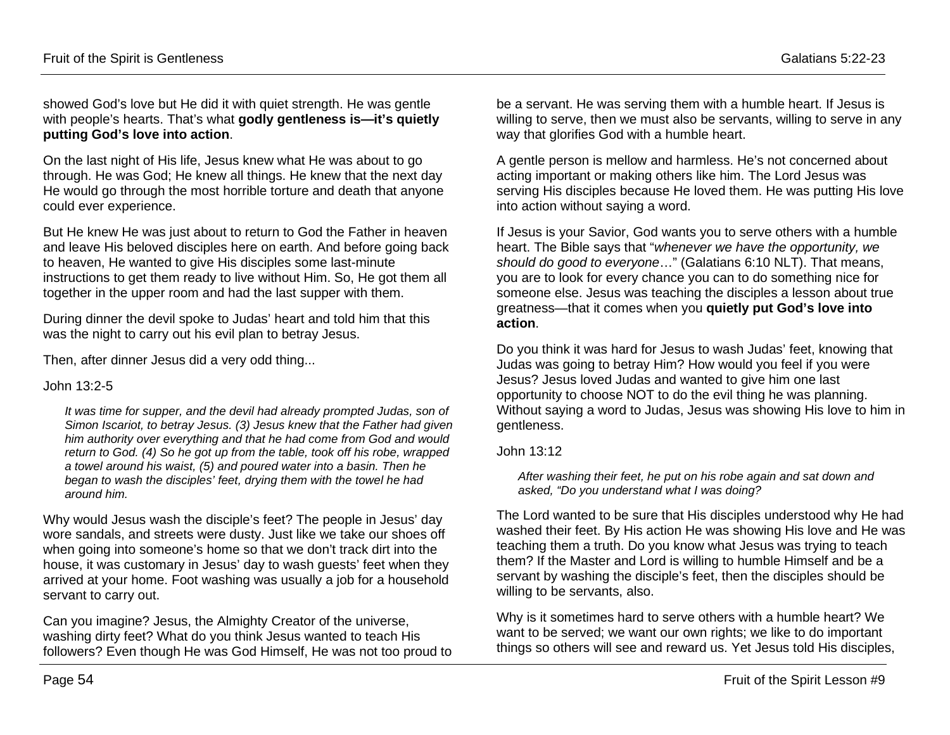showed God's love but He did it with quiet strength. He was gentle with people's hearts. That's what **godly gentleness is—it's quietly putting God's love into action**.

On the last night of His life, Jesus knew what He was about to go through. He was God; He knew all things. He knew that the next day He would go through the most horrible torture and death that anyone could ever experience.

But He knew He was just about to return to God the Father in heaven and leave His beloved disciples here on earth. And before going back to heaven, He wanted to give His disciples some last-minute instructions to get them ready to live without Him. So, He got them all together in the upper room and had the last supper with them.

During dinner the devil spoke to Judas' heart and told him that this was the night to carry out his evil plan to betray Jesus.

Then, after dinner Jesus did a very odd thing...

#### John 13:2-5

*It was time for supper, and the devil had already prompted Judas, son of Simon Iscariot, to betray Jesus. (3) Jesus knew that the Father had given him authority over everything and that he had come from God and would return to God. (4) So he got up from the table, took off his robe, wrapped a towel around his waist, (5) and poured water into a basin. Then he began to wash the disciples' feet, drying them with the towel he had around him.*

Why would Jesus wash the disciple's feet? The people in Jesus' day wore sandals, and streets were dusty. Just like we take our shoes off when going into someone's home so that we don't track dirt into the house, it was customary in Jesus' day to wash guests' feet when they arrived at your home. Foot washing was usually a job for a household servant to carry out.

Can you imagine? Jesus, the Almighty Creator of the universe, washing dirty feet? What do you think Jesus wanted to teach His followers? Even though He was God Himself, He was not too proud to be a servant. He was serving them with a humble heart. If Jesus is willing to serve, then we must also be servants, willing to serve in any way that glorifies God with a humble heart.

A gentle person is mellow and harmless. He's not concerned about acting important or making others like him. The Lord Jesus was serving His disciples because He loved them. He was putting His love into action without saying a word.

If Jesus is your Savior, God wants you to serve others with a humble heart. The Bible says that "*whenever we have the opportunity, we should do good to everyone*…" (Galatians 6:10 NLT). That means, you are to look for every chance you can to do something nice for someone else. Jesus was teaching the disciples a lesson about true greatness—that it comes when you **quietly put God's love into action**.

Do you think it was hard for Jesus to wash Judas' feet, knowing that Judas was going to betray Him? How would you feel if you were Jesus? Jesus loved Judas and wanted to give him one last opportunity to choose NOT to do the evil thing he was planning. Without saying a word to Judas, Jesus was showing His love to him in gentleness.

#### John 13:12

*After washing their feet, he put on his robe again and sat down and asked, "Do you understand what I was doing?*

The Lord wanted to be sure that His disciples understood why He had washed their feet. By His action He was showing His love and He was teaching them a truth. Do you know what Jesus was trying to teach them? If the Master and Lord is willing to humble Himself and be a servant by washing the disciple's feet, then the disciples should be willing to be servants, also.

Why is it sometimes hard to serve others with a humble heart? We want to be served; we want our own rights; we like to do important things so others will see and reward us. Yet Jesus told His disciples,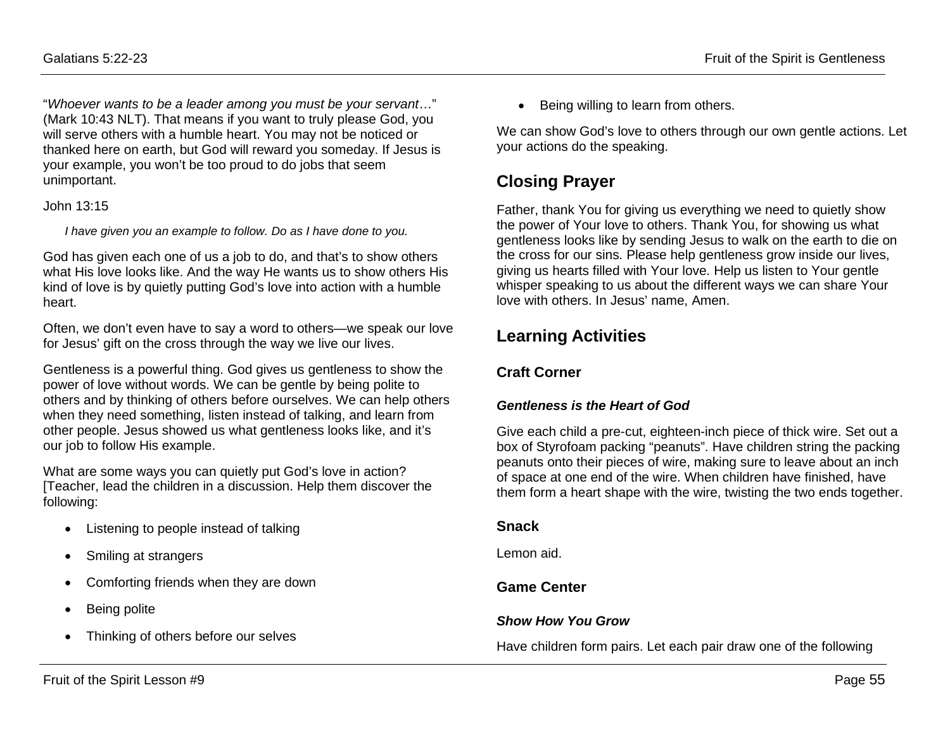"*Whoever wants to be a leader among you must be your servant*…" (Mark 10:43 NLT). That means if you want to truly please God, you will serve others with a humble heart. You may not be noticed or thanked here on earth, but God will reward you someday. If Jesus is your example, you won't be too proud to do jobs that seem unimportant.

#### John 13:15

*I have given you an example to follow. Do as I have done to you.*

God has given each one of us a job to do, and that's to show others what His love looks like. And the way He wants us to show others His kind of love is by quietly putting God's love into action with a humble heart.

Often, we don't even have to say a word to others—we speak our love for Jesus' gift on the cross through the way we live our lives.

Gentleness is a powerful thing. God gives us gentleness to show the power of love without words. We can be gentle by being polite to others and by thinking of others before ourselves. We can help others when they need something, listen instead of talking, and learn from other people. Jesus showed us what gentleness looks like, and it's our job to follow His example.

What are some ways you can quietly put God's love in action? [Teacher, lead the children in a discussion. Help them discover the following:

- Listening to people instead of talking
- Smiling at strangers
- Comforting friends when they are down
- Being polite
- Thinking of others before our selves

• Being willing to learn from others.

We can show God's love to others through our own gentle actions. Let your actions do the speaking.

## **Closing Prayer**

Father, thank You for giving us everything we need to quietly show the power of Your love to others. Thank You, for showing us what gentleness looks like by sending Jesus to walk on the earth to die on the cross for our sins. Please help gentleness grow inside our lives, giving us hearts filled with Your love. Help us listen to Your gentle whisper speaking to us about the different ways we can share Your love with others. In Jesus' name, Amen.

## **Learning Activities**

### **Craft Corner**

#### *Gentleness is the Heart of God*

Give each child a pre-cut, eighteen-inch piece of thick wire. Set out a box of Styrofoam packing "peanuts". Have children string the packing peanuts onto their pieces of wire, making sure to leave about an inch of space at one end of the wire. When children have finished, have them form a heart shape with the wire, twisting the two ends together.

#### **Snack**

Lemon aid.

### **Game Center**

### *Show How You Grow*

Have children form pairs. Let each pair draw one of the following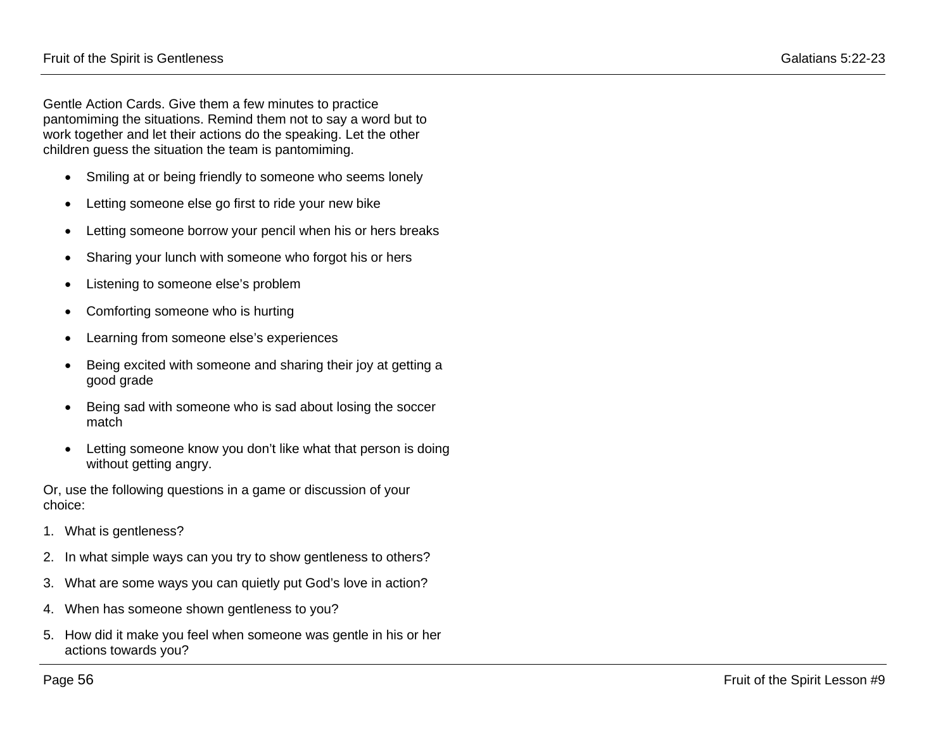Gentle Action Cards. Give them a few minutes to practice pantomiming the situations. Remind them not to say a word but to work together and let their actions do the speaking. Let the other children guess the situation the team is pantomiming.

- Smiling at or being friendly to someone who seems lonely
- Letting someone else go first to ride your new bike
- Letting someone borrow your pencil when his or hers breaks
- Sharing your lunch with someone who forgot his or hers
- Listening to someone else's problem
- Comforting someone who is hurting
- Learning from someone else's experiences
- Being excited with someone and sharing their joy at getting a good grade
- Being sad with someone who is sad about losing the soccer match
- Letting someone know you don't like what that person is doing without getting angry.

Or, use the following questions in a game or discussion of your choice:

- 1. What is gentleness?
- 2. In what simple ways can you try to show gentleness to others?
- 3. What are some ways you can quietly put God's love in action?
- 4. When has someone shown gentleness to you?
- 5. How did it make you feel when someone was gentle in his or her actions towards you?